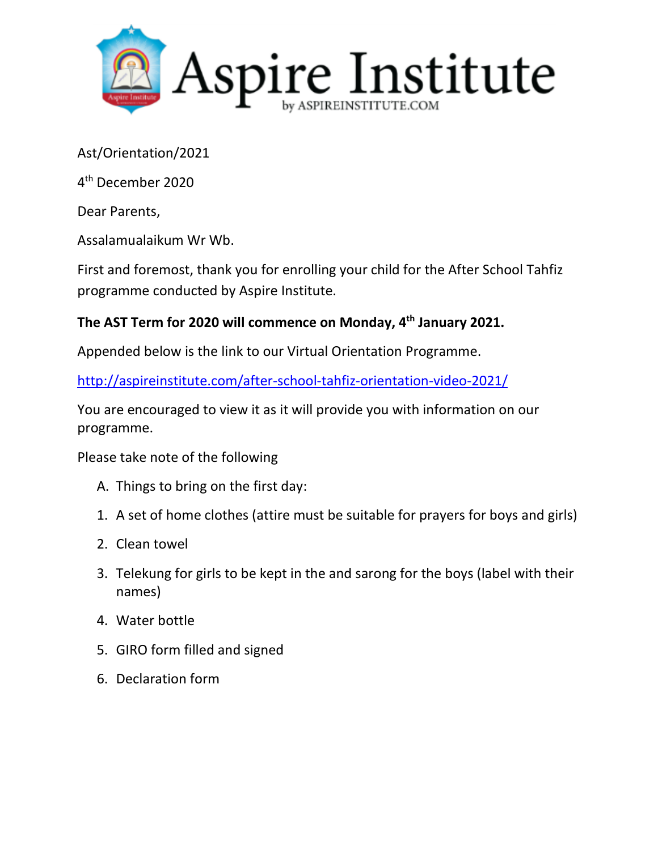

Ast/Orientation/2021

4 th December 2020

Dear Parents,

Assalamualaikum Wr Wb.

First and foremost, thank you for enrolling your child for the After School Tahfiz programme conducted by Aspire Institute.

## **The AST Term for 2020 will commence on Monday, 4 th January 2021.**

Appended below is the link to our Virtual Orientation Programme.

<http://aspireinstitute.com/after-school-tahfiz-orientation-video-2021/>

You are encouraged to view it as it will provide you with information on our programme.

Please take note of the following

- A. Things to bring on the first day:
- 1. A set of home clothes (attire must be suitable for prayers for boys and girls)
- 2. Clean towel
- 3. Telekung for girls to be kept in the and sarong for the boys (label with their names)
- 4. Water bottle
- 5. GIRO form filled and signed
- 6. Declaration form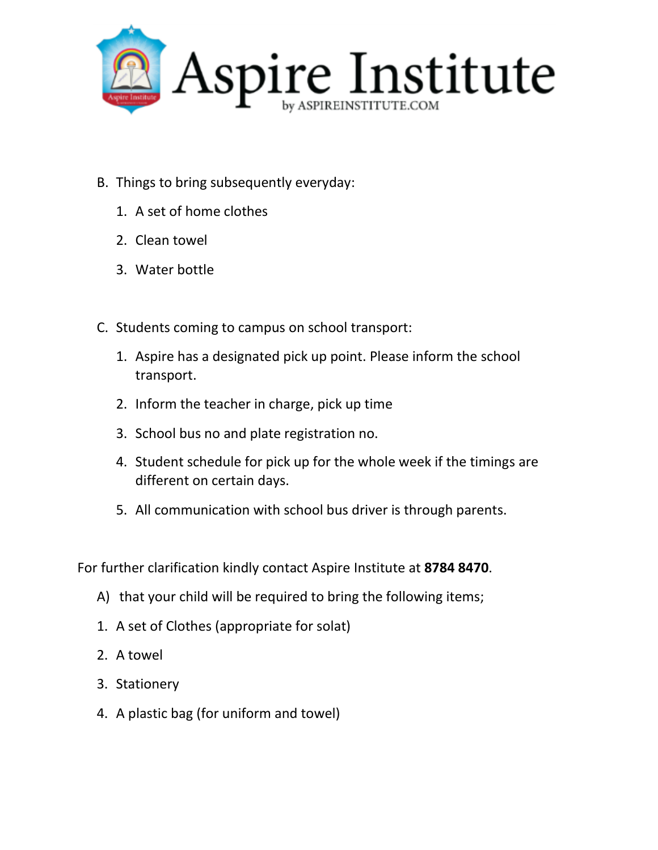

- B. Things to bring subsequently everyday:
	- 1. A set of home clothes
	- 2. Clean towel
	- 3. Water bottle
- C. Students coming to campus on school transport:
	- 1. Aspire has a designated pick up point. Please inform the school transport.
	- 2. Inform the teacher in charge, pick up time
	- 3. School bus no and plate registration no.
	- 4. Student schedule for pick up for the whole week if the timings are different on certain days.
	- 5. All communication with school bus driver is through parents.

For further clarification kindly contact Aspire Institute at **8784 8470**.

- A) that your child will be required to bring the following items;
- 1. A set of Clothes (appropriate for solat)
- 2. A towel
- 3. Stationery
- 4. A plastic bag (for uniform and towel)